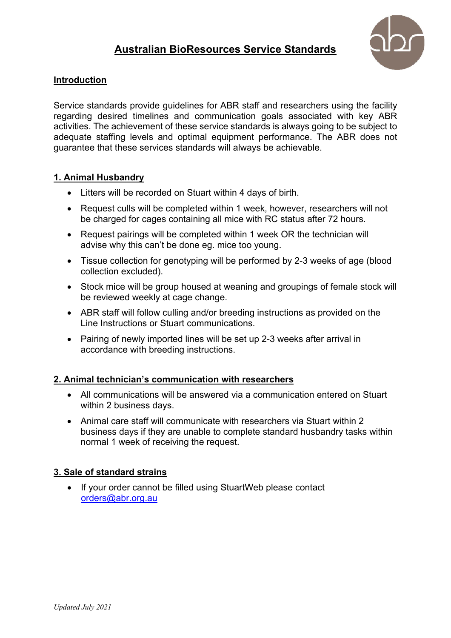# **Australian BioResources Service Standards**



## **Introduction**

Service standards provide guidelines for ABR staff and researchers using the facility regarding desired timelines and communication goals associated with key ABR activities. The achievement of these service standards is always going to be subject to adequate staffing levels and optimal equipment performance. The ABR does not guarantee that these services standards will always be achievable.

## **1. Animal Husbandry**

- Litters will be recorded on Stuart within 4 days of birth.
- Request culls will be completed within 1 week, however, researchers will not be charged for cages containing all mice with RC status after 72 hours.
- Request pairings will be completed within 1 week OR the technician will advise why this can't be done eg. mice too young.
- Tissue collection for genotyping will be performed by 2-3 weeks of age (blood collection excluded).
- Stock mice will be group housed at weaning and groupings of female stock will be reviewed weekly at cage change.
- ABR staff will follow culling and/or breeding instructions as provided on the Line Instructions or Stuart communications.
- Pairing of newly imported lines will be set up 2-3 weeks after arrival in accordance with breeding instructions.

# **2. Animal technician's communication with researchers**

- All communications will be answered via a communication entered on Stuart within 2 business days.
- Animal care staff will communicate with researchers via Stuart within 2 business days if they are unable to complete standard husbandry tasks within normal 1 week of receiving the request.

# **3. Sale of standard strains**

• If your order cannot be filled using StuartWeb please contact orders@abr.org.au